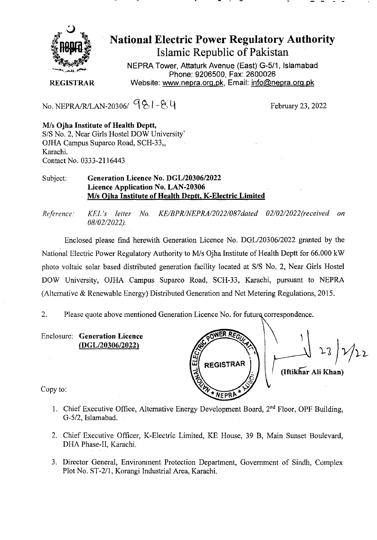

# • National Electric Power Regulatory Authority Islamic Republic of Pakistan

**NEPRA Tower, Attaturk Avenue (East) G-5/1, Islamabad Phone: 9206500, Fax: 2600026 REGISTRAR Website: www.nepra.ora.pk, Email: info(änepra.orq.pk** 

No. NEPRA/R/LAN-20306/  $981 - 84$ 

**MIs Ojha Institute of Health Deptt,**  S/S No. 2, Near Girls Flostel DOW University' OJHA Campus Suparco Road, SCH-33,, Karachi. Contact No. 0333-2116443

### Subject: **Generation Licence No.** *DGL/2030612022*  **Licence Application No. LAN-20306 MIs Ojha Institute of Health Deptt, K-Electric Limited**

*Reference. KEL 's letter No. KE/BPRINEPRA/2022/087daed 02/02/2022('received on*  08/02/2022).

Enclosed please find herewith Generation Licence No. DGL/20306/2022 granted by the National Electric Power Regulatory Authority to M/s Ojha Institute of Health Deptt for 66.000 kW photo voltaic solar based distributed generation facility located at S/S No. 2, Near Girls Hostel DOW University, OJHA Campus Suparco Road, SCFI-33, Karachi, pursuant to NEPRA (Alternative & Renewable Energy) Distributed Generation and Net Metering Regulations, 2015.

2. Please quote above mentioned Generation Licence No. for future correspondence.

Enclosure: **Generation Licence**  *(DGL/2030612022)* 

ដ **REGISTRAR (IftikGiir All Khan) NFPRI** 

Copy to:

- 1. Chief Executive Office, Alternative Energy Development Board, 2<sup>nd</sup> Floor, OPF Building, G-5/2, Islamabad.
- 2. Chief Executive Officer, K-Electric Limited, KE House, 39 B, Main Sunset Boulevard, DHA Phase-II, Karachi.
- 3. Director General, Environment Protection Department, Government of Sindh, Complex Plot No. ST-2/1, Korangi Industrial Area, Karachi.